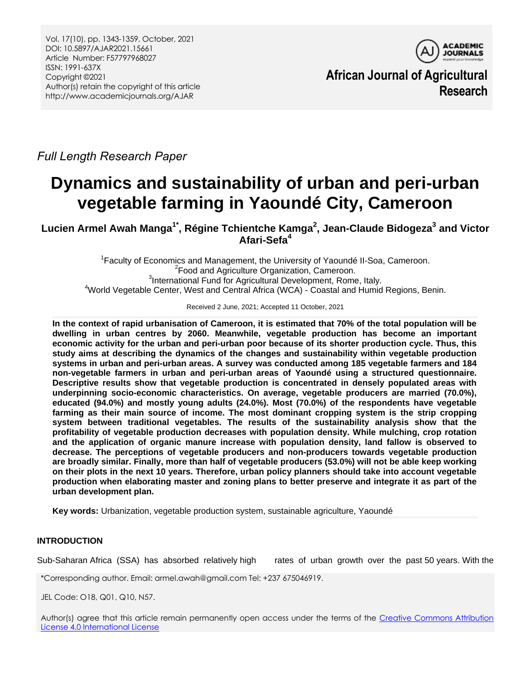

**African Journal of Agricultural Research**

*Full Length Research Paper*

# **Dynamics and sustainability of urban and peri-urban vegetable farming in Yaoundé City, Cameroon**

**Lucien Armel Awah Manga1\* , Régine Tchientche Kamga<sup>2</sup> , Jean-Claude Bidogeza<sup>3</sup> and Victor Afari-Sefa<sup>4</sup>**

1 Faculty of Economics and Management, the University of Yaoundé II*-*Soa, Cameroon. <sup>2</sup> Food and Agriculture Organization, Cameroon. <sup>3</sup>International Fund for Agricultural Development, Rome, Italy. <sup>4</sup>World Vegetable Center, West and Central Africa (WCA) - Coastal and Humid Regions, Benin.

Received 2 June, 2021; Accepted 11 October, 2021

**In the context of rapid urbanisation of Cameroon, it is estimated that 70% of the total population will be dwelling in urban centres by 2060. Meanwhile, vegetable production has become an important economic activity for the urban and peri-urban poor because of its shorter production cycle. Thus, this study aims at describing the dynamics of the changes and sustainability within vegetable production systems in urban and peri-urban areas. A survey was conducted among 185 vegetable farmers and 184 non-vegetable farmers in urban and peri-urban areas of Yaoundé using a structured questionnaire. Descriptive results show that vegetable production is concentrated in densely populated areas with underpinning socio-economic characteristics. On average, vegetable producers are married (70.0%), educated (94.0%) and mostly young adults (24.0%). Most (70.0%) of the respondents have vegetable farming as their main source of income. The most dominant cropping system is the strip cropping system between traditional vegetables. The results of the sustainability analysis show that the profitability of vegetable production decreases with population density. While mulching, crop rotation and the application of organic manure increase with population density, land fallow is observed to decrease. The perceptions of vegetable producers and non-producers towards vegetable production are broadly similar. Finally, more than half of vegetable producers (53.0%) will not be able keep working on their plots in the next 10 years. Therefore, urban policy planners should take into account vegetable production when elaborating master and zoning plans to better preserve and integrate it as part of the urban development plan.**

**Key words:** Urbanization, vegetable production system, sustainable agriculture, Yaoundé

# **INTRODUCTION**

Sub-Saharan Africa (SSA) has absorbed relatively high rates of urban growth over the past 50 years. With the

\*Corresponding author. Email: armel.awah@gmail.com Tel: +237 675046919.

JEL Code: O18, Q01, Q10, N57.

Author(s) agree that this article remain permanently open access under the terms of the Creative Commons Attribution [License 4.0 International License](http://creativecommons.org/licenses/by/4.0/deed.en_US)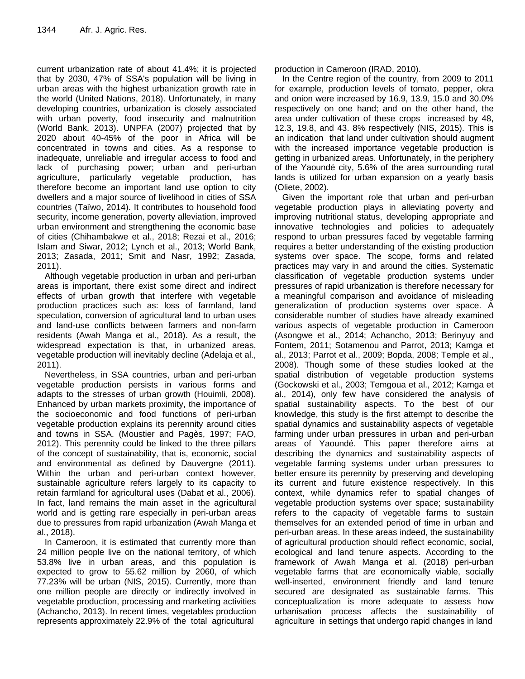current urbanization rate of about 41.4%; it is projected that by 2030, 47% of SSA's population will be living in urban areas with the highest urbanization growth rate in the world (United Nations, 2018). Unfortunately, in many developing countries, urbanization is closely associated with urban poverty, food insecurity and malnutrition (World Bank, 2013). UNPFA (2007) projected that by 2020 about 40-45% of the poor in Africa will be concentrated in towns and cities. As a response to inadequate, unreliable and irregular access to food and lack of purchasing power; urban and peri-urban agriculture, particularly vegetable production, has therefore become an important land use option to city dwellers and a major source of livelihood in cities of SSA countries (Taïwo, 2014). It contributes to household food security, income generation, poverty alleviation, improved urban environment and strengthening the economic base of cities (Chihambakwe et al., 2018; Rezai et al., 2016; Islam and Siwar, 2012; Lynch et al., 2013; World Bank, 2013; Zasada, 2011; Smit and Nasr, 1992; Zasada, 2011).

Although vegetable production in urban and peri-urban areas is important, there exist some direct and indirect effects of urban growth that interfere with vegetable production practices such as: loss of farmland, land speculation, conversion of agricultural land to urban uses and land-use conflicts between farmers and non-farm residents (Awah Manga et al., 2018). As a result, the widespread expectation is that, in urbanized areas, vegetable production will inevitably decline (Adelaja et al., 2011).

Nevertheless, in SSA countries, urban and peri-urban vegetable production persists in various forms and adapts to the stresses of urban growth (Houimli, 2008). Enhanced by urban markets proximity, the importance of the socioeconomic and food functions of peri-urban vegetable production explains its perennity around cities and towns in SSA. (Moustier and Pagès, 1997; FAO, 2012). This perennity could be linked to the three pillars of the concept of sustainability, that is, economic, social and environmental as defined by Dauvergne (2011). Within the urban and peri-urban context however, sustainable agriculture refers largely to its capacity to retain farmland for agricultural uses (Dabat et al., 2006). In fact, land remains the main asset in the agricultural world and is getting rare especially in peri-urban areas due to pressures from rapid urbanization (Awah Manga et al., 2018).

In Cameroon, it is estimated that currently more than 24 million people live on the national territory, of which 53.8% live in urban areas, and this population is expected to grow to 55.62 million by 2060, of which 77.23% will be urban (NIS, 2015). Currently, more than one million people are directly or indirectly involved in vegetable production, processing and marketing activities (Achancho, 2013). In recent times, vegetables production represents approximately 22.9% of the total agricultural

production in Cameroon (IRAD, 2010).

In the Centre region of the country, from 2009 to 2011 for example, production levels of tomato, pepper, okra and onion were increased by 16.9, 13.9, 15.0 and 30.0% respectively on one hand; and on the other hand, the area under cultivation of these crops increased by 48, 12.3, 19.8, and 43. 8% respectively (NIS, 2015). This is an indication that land under cultivation should augment with the increased importance vegetable production is getting in urbanized areas. Unfortunately, in the periphery of the Yaoundé city, 5.6% of the area surrounding rural lands is utilized for urban expansion on a yearly basis (Oliete, 2002).

Given the important role that urban and peri-urban vegetable production plays in alleviating poverty and improving nutritional status, developing appropriate and innovative technologies and policies to adequately respond to urban pressures faced by vegetable farming requires a better understanding of the existing production systems over space. The scope, forms and related practices may vary in and around the cities. Systematic classification of vegetable production systems under pressures of rapid urbanization is therefore necessary for a meaningful comparison and avoidance of misleading generalization of production systems over space. A considerable number of studies have already examined various aspects of vegetable production in Cameroon (Asongwe et al., 2014; Achancho, 2013; Berinyuy and Fontem, 2011; Sotamenou and Parrot, 2013; Kamga et al., 2013; Parrot et al., 2009; Bopda, 2008; Temple et al., 2008). Though some of these studies looked at the spatial distribution of vegetable production systems (Gockowski et al., 2003; Temgoua et al., 2012; Kamga et al., 2014), only few have considered the analysis of spatial sustainability aspects. To the best of our knowledge, this study is the first attempt to describe the spatial dynamics and sustainability aspects of vegetable farming under urban pressures in urban and peri-urban areas of Yaoundé. This paper therefore aims at describing the dynamics and sustainability aspects of vegetable farming systems under urban pressures to better ensure its perennity by preserving and developing its current and future existence respectively. In this context, while dynamics refer to spatial changes of vegetable production systems over space; sustainability refers to the capacity of vegetable farms to sustain themselves for an extended period of time in urban and peri-urban areas. In these areas indeed, the sustainability of agricultural production should reflect economic, social, ecological and land tenure aspects. According to the framework of Awah Manga et al. (2018) peri-urban vegetable farms that are economically viable, socially well-inserted, environment friendly and land tenure secured are designated as sustainable farms. This conceptualization is more adequate to assess how urbanisation process affects the sustainability of agriculture in settings that undergo rapid changes in land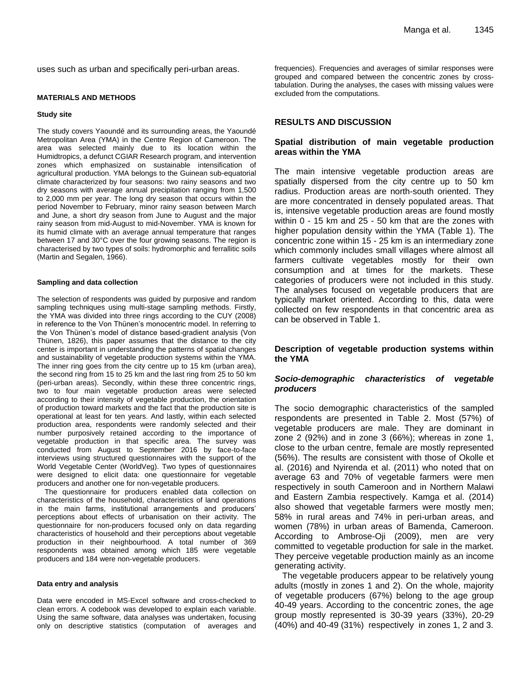uses such as urban and specifically peri-urban areas.

#### **MATERIALS AND METHODS**

#### **Study site**

The study covers Yaoundé and its surrounding areas, the Yaoundé Metropolitan Area (YMA) in the Centre Region of Cameroon. The area was selected mainly due to its location within the Humidtropics, a defunct CGIAR Research program, and intervention zones which emphasized on sustainable intensification of agricultural production. YMA belongs to the Guinean sub-equatorial climate characterized by four seasons: two rainy seasons and two dry seasons with average annual precipitation ranging from 1,500 to 2,000 mm per year. The long dry season that occurs within the period November to February, minor rainy season between March and June, a short dry season from June to August and the major rainy season from mid-August to mid-November. YMA is known for its humid climate with an average annual temperature that ranges between 17 and 30°C over the four growing seasons. The region is characterised by two types of soils: hydromorphic and ferrallitic soils (Martin and Segalen, 1966).

#### **Sampling and data collection**

The selection of respondents was guided by purposive and random sampling techniques using multi-stage sampling methods. Firstly, the YMA was divided into three rings according to the CUY (2008) in reference to the Von Thünen's monocentric model. In referring to the Von Thünen's model of distance based-gradient analysis (Von Thünen, 1826), this paper assumes that the distance to the city center is important in understanding the patterns of spatial changes and sustainability of vegetable production systems within the YMA. The inner ring goes from the city centre up to 15 km (urban area), the second ring from 15 to 25 km and the last ring from 25 to 50 km (peri-urban areas). Secondly, within these three concentric rings, two to four main vegetable production areas were selected according to their intensity of vegetable production, the orientation of production toward markets and the fact that the production site is operational at least for ten years. And lastly, within each selected production area, respondents were randomly selected and their number purposively retained according to the importance of vegetable production in that specific area. The survey was conducted from August to September 2016 by face-to-face interviews using structured questionnaires with the support of the World Vegetable Center (WorldVeg). Two types of questionnaires were designed to elicit data: one questionnaire for vegetable producers and another one for non-vegetable producers.

The questionnaire for producers enabled data collection on characteristics of the household, characteristics of land operations in the main farms, institutional arrangements and producers' perceptions about effects of urbanisation on their activity. The questionnaire for non-producers focused only on data regarding characteristics of household and their perceptions about vegetable production in their neighbourhood. A total number of 369 respondents was obtained among which 185 were vegetable producers and 184 were non-vegetable producers.

#### **Data entry and analysis**

Data were encoded in MS-Excel software and cross-checked to clean errors. A codebook was developed to explain each variable. Using the same software, data analyses was undertaken, focusing only on descriptive statistics (computation of averages and frequencies). Frequencies and averages of similar responses were grouped and compared between the concentric zones by crosstabulation. During the analyses, the cases with missing values were excluded from the computations.

## **RESULTS AND DISCUSSION**

#### **Spatial distribution of main vegetable production areas within the YMA**

The main intensive vegetable production areas are spatially dispersed from the city centre up to 50 km radius. Production areas are north-south oriented. They are more concentrated in densely populated areas. That is, intensive vegetable production areas are found mostly within 0 - 15 km and 25 - 50 km that are the zones with higher population density within the YMA (Table 1). The concentric zone within 15 - 25 km is an intermediary zone which commonly includes small villages where almost all farmers cultivate vegetables mostly for their own consumption and at times for the markets. These categories of producers were not included in this study. The analyses focused on vegetable producers that are typically market oriented. According to this, data were collected on few respondents in that concentric area as can be observed in Table 1.

## **Description of vegetable production systems within the YMA**

### *Socio-demographic characteristics of vegetable producers*

The socio demographic characteristics of the sampled respondents are presented in Table 2. Most (57%) of vegetable producers are male. They are dominant in zone 2 (92%) and in zone 3 (66%); whereas in zone 1, close to the urban centre, female are mostly represented (56%). The results are consistent with those of Okolle et al. (2016) and Nyirenda et al. (2011) who noted that on average 63 and 70% of vegetable farmers were men respectively in south Cameroon and in Northern Malawi and Eastern Zambia respectively. Kamga et al. (2014) also showed that vegetable farmers were mostly men; 58% in rural areas and 74% in peri-urban areas, and women (78%) in urban areas of Bamenda, Cameroon. According to Ambrose-Oji (2009), men are very committed to vegetable production for sale in the market. They perceive vegetable production mainly as an income generating activity.

The vegetable producers appear to be relatively young adults (mostly in zones 1 and 2). On the whole, majority of vegetable producers (67%) belong to the age group 40-49 years. According to the concentric zones, the age group mostly represented is 30-39 years (33%), 20-29 (40%) and 40-49 (31%) respectively in zones 1, 2 and 3.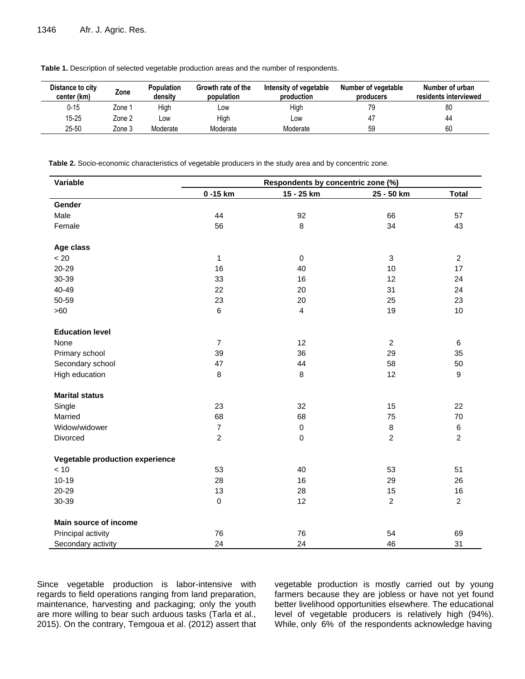| Distance to city<br>center (km) | Zone   | <b>Population</b><br>densitv | Growth rate of the<br>population | Intensity of vegetable<br>production | Number of vegetable<br>producers | Number of urban<br>residents interviewed |
|---------------------------------|--------|------------------------------|----------------------------------|--------------------------------------|----------------------------------|------------------------------------------|
| $0 - 15$                        | Zone 1 | High                         | LOW                              | High                                 |                                  | 80                                       |
| $15 - 25$                       | Zone 2 | LOW                          | High                             | Low                                  | 47                               | 44                                       |
| 25-50                           | Zone 3 | Moderate                     | Moderate                         | Moderate                             | 59                               | 60                                       |

**Table 1.** Description of selected vegetable production areas and the number of respondents.

**Table 2.** Socio-economic characteristics of vegetable producers in the study area and by concentric zone.

| Variable                        | Respondents by concentric zone (%) |                |                |                  |  |
|---------------------------------|------------------------------------|----------------|----------------|------------------|--|
|                                 | 0-15 km                            | 15 - 25 km     | 25 - 50 km     | <b>Total</b>     |  |
| Gender                          |                                    |                |                |                  |  |
| Male                            | 44                                 | 92             | 66             | 57               |  |
| Female                          | 56                                 | 8              | 34             | 43               |  |
| Age class                       |                                    |                |                |                  |  |
| < 20                            | 1                                  | $\mathbf 0$    | $\mathbf{3}$   | $\overline{c}$   |  |
| 20-29                           | 16                                 | 40             | 10             | 17               |  |
| 30-39                           | 33                                 | 16             | 12             | 24               |  |
| 40-49                           | 22                                 | 20             | 31             | 24               |  |
| 50-59                           | 23                                 | 20             | 25             | 23               |  |
| >60                             | 6                                  | $\overline{4}$ | 19             | 10               |  |
| <b>Education level</b>          |                                    |                |                |                  |  |
| None                            | $\overline{7}$                     | 12             | $\overline{2}$ | 6                |  |
| Primary school                  | 39                                 | 36             | 29             | 35               |  |
| Secondary school                | 47                                 | 44             | 58             | 50               |  |
| High education                  | 8                                  | 8              | 12             | $\boldsymbol{9}$ |  |
| <b>Marital status</b>           |                                    |                |                |                  |  |
| Single                          | 23                                 | 32             | 15             | 22               |  |
| Married                         | 68                                 | 68             | 75             | 70               |  |
| Widow/widower                   | $\overline{7}$                     | $\mathbf 0$    | 8              | 6                |  |
| Divorced                        | $\overline{c}$                     | $\mathbf 0$    | $\overline{a}$ | $\overline{c}$   |  |
| Vegetable production experience |                                    |                |                |                  |  |
| $<10$                           | 53                                 | 40             | 53             | 51               |  |
| $10 - 19$                       | 28                                 | 16             | 29             | 26               |  |
| 20-29                           | 13                                 | 28             | 15             | 16               |  |
| 30-39                           | $\pmb{0}$                          | 12             | $\overline{a}$ | $\overline{2}$   |  |
| <b>Main source of income</b>    |                                    |                |                |                  |  |
| Principal activity              | 76                                 | 76             | 54             | 69               |  |
| Secondary activity              | 24                                 | 24             | 46             | 31               |  |

Since vegetable production is labor-intensive with regards to field operations ranging from land preparation, maintenance, harvesting and packaging; only the youth are more willing to bear such arduous tasks (Tarla et al., 2015). On the contrary, Temgoua et al. (2012) assert that vegetable production is mostly carried out by young farmers because they are jobless or have not yet found better livelihood opportunities elsewhere. The educational level of vegetable producers is relatively high (94%). While, only 6% of the respondents acknowledge having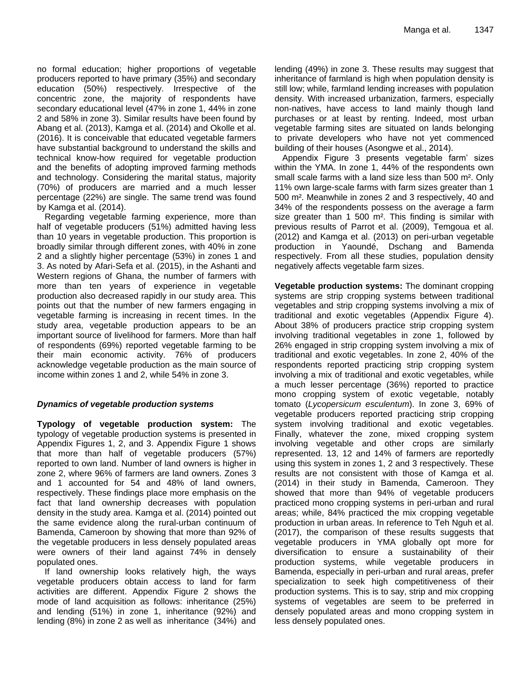no formal education; higher proportions of vegetable producers reported to have primary (35%) and secondary education (50%) respectively. Irrespective of the concentric zone, the majority of respondents have secondary educational level (47% in zone 1, 44% in zone 2 and 58% in zone 3). Similar results have been found by Abang et al. (2013), Kamga et al. (2014) and Okolle et al. (2016). It is conceivable that educated vegetable farmers have substantial background to understand the skills and technical know-how required for vegetable production and the benefits of adopting improved farming methods and technology. Considering the marital status, majority (70%) of producers are married and a much lesser percentage (22%) are single. The same trend was found by Kamga et al. (2014).

Regarding vegetable farming experience, more than half of vegetable producers (51%) admitted having less than 10 years in vegetable production. This proportion is broadly similar through different zones, with 40% in zone 2 and a slightly higher percentage (53%) in zones 1 and 3. As noted by Afari-Sefa et al. (2015), in the Ashanti and Western regions of Ghana, the number of farmers with more than ten years of experience in vegetable production also decreased rapidly in our study area. This points out that the number of new farmers engaging in vegetable farming is increasing in recent times. In the study area, vegetable production appears to be an important source of livelihood for farmers. More than half of respondents (69%) reported vegetable farming to be their main economic activity. 76% of producers acknowledge vegetable production as the main source of income within zones 1 and 2, while 54% in zone 3.

# *Dynamics of vegetable production systems*

**Typology of vegetable production system:** The typology of vegetable production systems is presented in Appendix Figures 1, 2, and 3. Appendix Figure 1 shows that more than half of vegetable producers (57%) reported to own land. Number of land owners is higher in zone 2, where 96% of farmers are land owners. Zones 3 and 1 accounted for 54 and 48% of land owners, respectively. These findings place more emphasis on the fact that land ownership decreases with population density in the study area. Kamga et al. (2014) pointed out the same evidence along the rural-urban continuum of Bamenda, Cameroon by showing that more than 92% of the vegetable producers in less densely populated areas were owners of their land against 74% in densely populated ones.

If land ownership looks relatively high, the ways vegetable producers obtain access to land for farm activities are different. Appendix Figure 2 shows the mode of land acquisition as follows: inheritance (25%) and lending (51%) in zone 1, inheritance (92%) and lending (8%) in zone 2 as well as inheritance (34%) and lending (49%) in zone 3. These results may suggest that inheritance of farmland is high when population density is still low; while, farmland lending increases with population density. With increased urbanization, farmers, especially non-natives, have access to land mainly though land purchases or at least by renting. Indeed, most urban vegetable farming sites are situated on lands belonging to private developers who have not yet commenced building of their houses (Asongwe et al., 2014).

Appendix Figure 3 presents vegetable farm' sizes within the YMA. In zone 1, 44% of the respondents own small scale farms with a land size less than 500 m². Only 11% own large-scale farms with farm sizes greater than 1 500 m². Meanwhile in zones 2 and 3 respectively, 40 and 34% of the respondents possess on the average a farm size greater than 1 500 m<sup>2</sup>. This finding is similar with previous results of Parrot et al. (2009), Temgoua et al. (2012) and Kamga et al. (2013) on peri-urban vegetable production in Yaoundé, Dschang and Bamenda respectively. From all these studies, population density negatively affects vegetable farm sizes.

**Vegetable production systems:** The dominant cropping systems are strip cropping systems between traditional vegetables and strip cropping systems involving a mix of traditional and exotic vegetables (Appendix Figure 4). About 38% of producers practice strip cropping system involving traditional vegetables in zone 1, followed by 26% engaged in strip cropping system involving a mix of traditional and exotic vegetables. In zone 2, 40% of the respondents reported practicing strip cropping system involving a mix of traditional and exotic vegetables, while a much lesser percentage (36%) reported to practice mono cropping system of exotic vegetable, notably tomato (*Lycopersicum esculentum*). In zone 3, 69% of vegetable producers reported practicing strip cropping system involving traditional and exotic vegetables. Finally, whatever the zone, mixed cropping system involving vegetable and other crops are similarly represented. 13, 12 and 14% of farmers are reportedly using this system in zones 1, 2 and 3 respectively. These results are not consistent with those of Kamga et al. (2014) in their study in Bamenda, Cameroon. They showed that more than 94% of vegetable producers practiced mono cropping systems in peri-urban and rural areas; while, 84% practiced the mix cropping vegetable production in urban areas. In reference to Teh Nguh et al. (2017), the comparison of these results suggests that vegetable producers in YMA globally opt more for diversification to ensure a sustainability of their production systems, while vegetable producers in Bamenda, especially in peri-urban and rural areas, prefer specialization to seek high competitiveness of their production systems. This is to say, strip and mix cropping systems of vegetables are seem to be preferred in densely populated areas and mono cropping system in less densely populated ones.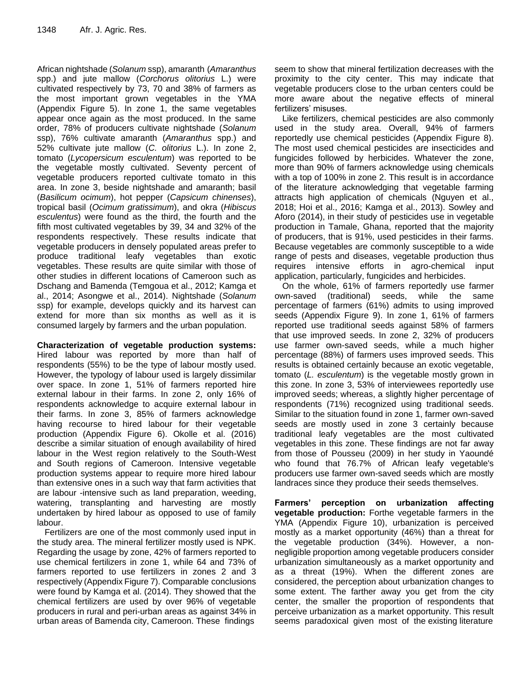African nightshade (*Solanum* ssp), amaranth (*Amaranthus* spp.) and jute mallow (*Corchorus olitorius* L.) were cultivated respectively by 73, 70 and 38% of farmers as the most important grown vegetables in the YMA (Appendix Figure 5). In zone 1, the same vegetables appear once again as the most produced. In the same order, 78% of producers cultivate nightshade (*Solanum* ssp), 76% cultivate amaranth (*Amaranthus* spp.) and 52% cultivate jute mallow (*C. olitorius* L.). In zone 2, tomato (*Lycopersicum esculentum*) was reported to be the vegetable mostly cultivated. Seventy percent of vegetable producers reported cultivate tomato in this area. In zone 3, beside nightshade and amaranth; basil (*Basilicum ocimum*), hot pepper (*Capsicum chinenses*), tropical basil (*Ocimum gratissimum*), and okra (*Hibiscus esculentus*) were found as the third, the fourth and the fifth most cultivated vegetables by 39, 34 and 32% of the respondents respectively. These results indicate that vegetable producers in densely populated areas prefer to produce traditional leafy vegetables than exotic vegetables. These results are quite similar with those of other studies in different locations of Cameroon such as Dschang and Bamenda (Temgoua et al., 2012; Kamga et al., 2014; Asongwe et al., 2014). Nightshade (*Solanum* ssp) for example, develops quickly and its harvest can extend for more than six months as well as it is consumed largely by farmers and the urban population.

**Characterization of vegetable production systems:**  Hired labour was reported by more than half of respondents (55%) to be the type of labour mostly used. However, the typology of labour used is largely dissimilar over space. In zone 1, 51% of farmers reported hire external labour in their farms. In zone 2, only 16% of respondents acknowledge to acquire external labour in their farms. In zone 3, 85% of farmers acknowledge having recourse to hired labour for their vegetable production (Appendix Figure 6). Okolle et al. (2016) describe a similar situation of enough availability of hired labour in the West region relatively to the South-West and South regions of Cameroon. Intensive vegetable production systems appear to require more hired labour than extensive ones in a such way that farm activities that are labour -intensive such as land preparation, weeding, watering, transplanting and harvesting are mostly undertaken by hired labour as opposed to use of family labour.

Fertilizers are one of the most commonly used input in the study area. The mineral fertilizer mostly used is NPK. Regarding the usage by zone, 42% of farmers reported to use chemical fertilizers in zone 1, while 64 and 73% of farmers reported to use fertilizers in zones 2 and 3 respectively (Appendix Figure 7). Comparable conclusions were found by Kamga et al. (2014). They showed that the chemical fertilizers are used by over 96% of vegetable producers in rural and peri-urban areas as against 34% in urban areas of Bamenda city, Cameroon. These findings

seem to show that mineral fertilization decreases with the proximity to the city center. This may indicate that vegetable producers close to the urban centers could be more aware about the negative effects of mineral fertilizers' misuses.

Like fertilizers, chemical pesticides are also commonly used in the study area. Overall, 94% of farmers reportedly use chemical pesticides (Appendix Figure 8). The most used chemical pesticides are insecticides and fungicides followed by herbicides. Whatever the zone, more than 90% of farmers acknowledge using chemicals with a top of 100% in zone 2. This result is in accordance of the literature acknowledging that vegetable farming attracts high application of chemicals (Nguyen et al., 2018; Hoi et al., 2016; Kamga et al., 2013). Sowley and Aforo (2014), in their study of pesticides use in vegetable production in Tamale, Ghana, reported that the majority of producers, that is 91%, used pesticides in their farms. Because vegetables are commonly susceptible to a wide range of pests and diseases, vegetable production thus requires intensive efforts in agro-chemical input application, particularly, fungicides and herbicides.

On the whole, 61% of farmers reportedly use farmer own-saved (traditional) seeds, while the same percentage of farmers (61%) admits to using improved seeds (Appendix Figure 9). In zone 1, 61% of farmers reported use traditional seeds against 58% of farmers that use improved seeds. In zone 2, 32% of producers use farmer own-saved seeds, while a much higher percentage (88%) of farmers uses improved seeds. This results is obtained certainly because an exotic vegetable, tomato (*L. esculentum*) is the vegetable mostly grown in this zone. In zone 3, 53% of interviewees reportedly use improved seeds; whereas, a slightly higher percentage of respondents (71%) recognized using traditional seeds. Similar to the situation found in zone 1, farmer own-saved seeds are mostly used in zone 3 certainly because traditional leafy vegetables are the most cultivated vegetables in this zone. These findings are not far away from those of Pousseu (2009) in her study in Yaoundé who found that 76.7% of African leafy vegetable's producers use farmer own-saved seeds which are mostly landraces since they produce their seeds themselves.

**Farmers' perception on urbanization affecting vegetable production:** Forthe vegetable farmers in the YMA (Appendix Figure 10), urbanization is perceived mostly as a market opportunity (46%) than a threat for the vegetable production (34%). However, a nonnegligible proportion among vegetable producers consider urbanization simultaneously as a market opportunity and as a threat (19%). When the different zones are considered, the perception about urbanization changes to some extent. The farther away you get from the city center, the smaller the proportion of respondents that perceive urbanization as a market opportunity. This result seems paradoxical given most of the existing literature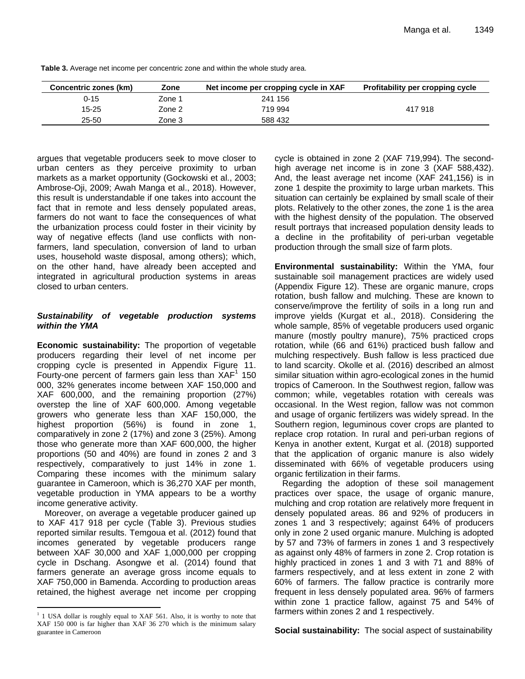| Concentric zones (km) | Zone   | Net income per cropping cycle in XAF | <b>Profitability per cropping cycle</b> |
|-----------------------|--------|--------------------------------------|-----------------------------------------|
| 0-15                  | Zone 1 | 241 156                              |                                         |
| 15-25                 | Zone 2 | 719 994                              | 417 918                                 |
| 25-50                 | Zone 3 | 588 432                              |                                         |

**Table 3.** Average net income per concentric zone and within the whole study area.

argues that vegetable producers seek to move closer to urban centers as they perceive proximity to urban markets as a market opportunity (Gockowski et al., 2003; Ambrose-Oji, 2009; Awah Manga et al., 2018). However, this result is understandable if one takes into account the fact that in remote and less densely populated areas, farmers do not want to face the consequences of what the urbanization process could foster in their vicinity by way of negative effects (land use conflicts with nonfarmers, land speculation, conversion of land to urban uses, household waste disposal, among others); which, on the other hand, have already been accepted and integrated in agricultural production systems in areas closed to urban centers.

## *Sustainability of vegetable production systems within the YMA*

**Economic sustainability:** The proportion of vegetable producers regarding their level of net income per cropping cycle is presented in Appendix Figure 11. Fourty-one percent of farmers gain less than  $XAF<sup>1</sup>$  150 000, 32% generates income between XAF 150,000 and XAF 600,000, and the remaining proportion (27%) overstep the line of XAF 600,000. Among vegetable growers who generate less than XAF 150,000, the highest proportion (56%) is found in zone 1, comparatively in zone 2 (17%) and zone 3 (25%). Among those who generate more than XAF 600,000, the higher proportions (50 and 40%) are found in zones 2 and 3 respectively, comparatively to just 14% in zone 1. Comparing these incomes with the minimum salary guarantee in Cameroon, which is 36,270 XAF per month, vegetable production in YMA appears to be a worthy income generative activity.

Moreover, on average a vegetable producer gained up to XAF 417 918 per cycle (Table 3). Previous studies reported similar results. Temgoua et al. (2012) found that incomes generated by vegetable producers range between XAF 30,000 and XAF 1,000,000 per cropping cycle in Dschang. Asongwe et al. (2014) found that farmers generate an average gross income equals to XAF 750,000 in Bamenda. According to production areas retained, the highest average net income per cropping

 $1$  1 USA dollar is roughly equal to XAF 561. Also, it is worthy to note that XAF 150 000 is far higher than XAF 36 270 which is the minimum salary guarantee in Cameroon

 $\overline{\phantom{a}}$ 

cycle is obtained in zone 2 (XAF 719,994). The secondhigh average net income is in zone 3 (XAF 588,432). And, the least average net income (XAF 241,156) is in zone 1 despite the proximity to large urban markets. This situation can certainly be explained by small scale of their plots. Relatively to the other zones, the zone 1 is the area with the highest density of the population. The observed result portrays that increased population density leads to a decline in the profitability of peri-urban vegetable production through the small size of farm plots.

**Environmental sustainability:** Within the YMA, four sustainable soil management practices are widely used (Appendix Figure 12). These are organic manure, crops rotation, bush fallow and mulching. These are known to conserve/improve the fertility of soils in a long run and improve yields (Kurgat et al., 2018). Considering the whole sample, 85% of vegetable producers used organic manure (mostly poultry manure), 75% practiced crops rotation, while (66 and 61%) practiced bush fallow and mulching respectively. Bush fallow is less practiced due to land scarcity. Okolle et al. (2016) described an almost similar situation within agro-ecological zones in the humid tropics of Cameroon. In the Southwest region, fallow was common; while, vegetables rotation with cereals was occasional. In the West region, fallow was not common and usage of organic fertilizers was widely spread. In the Southern region, leguminous cover crops are planted to replace crop rotation. In rural and peri-urban regions of Kenya in another extent, Kurgat et al. (2018) supported that the application of organic manure is also widely disseminated with 66% of vegetable producers using organic fertilization in their farms.

Regarding the adoption of these soil management practices over space, the usage of organic manure, mulching and crop rotation are relatively more frequent in densely populated areas. 86 and 92% of producers in zones 1 and 3 respectively; against 64% of producers only in zone 2 used organic manure. Mulching is adopted by 57 and 73% of farmers in zones 1 and 3 respectively as against only 48% of farmers in zone 2. Crop rotation is highly practiced in zones 1 and 3 with 71 and 88% of farmers respectively, and at less extent in zone 2 with 60% of farmers. The fallow practice is contrarily more frequent in less densely populated area. 96% of farmers within zone 1 practice fallow, against 75 and 54% of farmers within zones 2 and 1 respectively.

**Social sustainability:** The social aspect of sustainability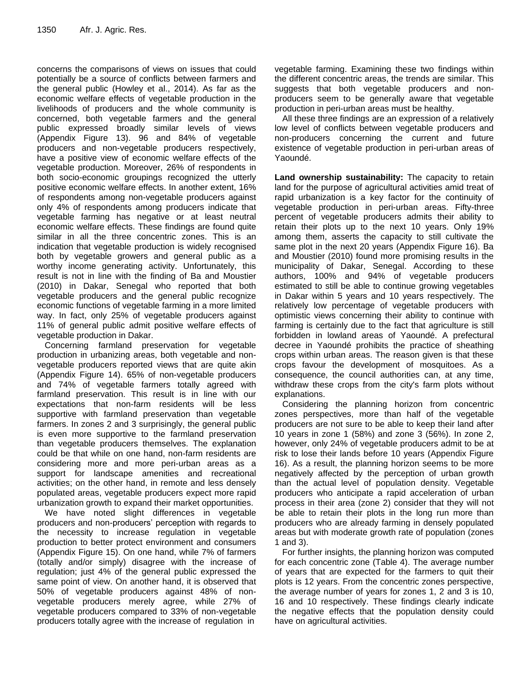concerns the comparisons of views on issues that could potentially be a source of conflicts between farmers and the general public (Howley et al., 2014). As far as the economic welfare effects of vegetable production in the livelihoods of producers and the whole community is concerned, both vegetable farmers and the general public expressed broadly similar levels of views (Appendix Figure 13). 96 and 84% of vegetable producers and non-vegetable producers respectively, have a positive view of economic welfare effects of the vegetable production. Moreover, 26% of respondents in both socio-economic groupings recognized the utterly positive economic welfare effects. In another extent, 16% of respondents among non-vegetable producers against only 4% of respondents among producers indicate that vegetable farming has negative or at least neutral economic welfare effects. These findings are found quite similar in all the three concentric zones. This is an indication that vegetable production is widely recognised both by vegetable growers and general public as a worthy income generating activity. Unfortunately, this result is not in line with the finding of Ba and Moustier (2010) in Dakar, Senegal who reported that both vegetable producers and the general public recognize economic functions of vegetable farming in a more limited way. In fact, only 25% of vegetable producers against 11% of general public admit positive welfare effects of vegetable production in Dakar.

Concerning farmland preservation for vegetable production in urbanizing areas, both vegetable and nonvegetable producers reported views that are quite akin (Appendix Figure 14). 65% of non-vegetable producers and 74% of vegetable farmers totally agreed with farmland preservation. This result is in line with our expectations that non-farm residents will be less supportive with farmland preservation than vegetable farmers. In zones 2 and 3 surprisingly, the general public is even more supportive to the farmland preservation than vegetable producers themselves. The explanation could be that while on one hand, non-farm residents are considering more and more peri-urban areas as a support for landscape amenities and recreational activities; on the other hand, in remote and less densely populated areas, vegetable producers expect more rapid urbanization growth to expand their market opportunities.

We have noted slight differences in vegetable producers and non-producers' perception with regards to the necessity to increase regulation in vegetable production to better protect environment and consumers (Appendix Figure 15). On one hand, while 7% of farmers (totally and/or simply) disagree with the increase of regulation; just 4% of the general public expressed the same point of view. On another hand, it is observed that 50% of vegetable producers against 48% of nonvegetable producers merely agree, while 27% of vegetable producers compared to 33% of non-vegetable producers totally agree with the increase of regulation in

vegetable farming. Examining these two findings within the different concentric areas, the trends are similar. This suggests that both vegetable producers and nonproducers seem to be generally aware that vegetable production in peri-urban areas must be healthy.

All these three findings are an expression of a relatively low level of conflicts between vegetable producers and non-producers concerning the current and future existence of vegetable production in peri-urban areas of Yaoundé.

**Land ownership sustainability:** The capacity to retain land for the purpose of agricultural activities amid treat of rapid urbanization is a key factor for the continuity of vegetable production in peri-urban areas. Fifty-three percent of vegetable producers admits their ability to retain their plots up to the next 10 years. Only 19% among them, asserts the capacity to still cultivate the same plot in the next 20 years (Appendix Figure 16). Ba and Moustier (2010) found more promising results in the municipality of Dakar, Senegal. According to these authors, 100% and 94% of vegetable producers estimated to still be able to continue growing vegetables in Dakar within 5 years and 10 years respectively. The relatively low percentage of vegetable producers with optimistic views concerning their ability to continue with farming is certainly due to the fact that agriculture is still forbidden in lowland areas of Yaoundé. A prefectural decree in Yaoundé prohibits the practice of sheathing crops within urban areas. The reason given is that these crops favour the development of mosquitoes. As a consequence, the council authorities can, at any time, withdraw these crops from the city's farm plots without explanations.

Considering the planning horizon from concentric zones perspectives, more than half of the vegetable producers are not sure to be able to keep their land after 10 years in zone 1 (58%) and zone 3 (56%). In zone 2, however, only 24% of vegetable producers admit to be at risk to lose their lands before 10 years (Appendix Figure 16). As a result, the planning horizon seems to be more negatively affected by the perception of urban growth than the actual level of population density. Vegetable producers who anticipate a rapid acceleration of urban process in their area (zone 2) consider that they will not be able to retain their plots in the long run more than producers who are already farming in densely populated areas but with moderate growth rate of population (zones 1 and 3).

For further insights, the planning horizon was computed for each concentric zone (Table 4). The average number of years that are expected for the farmers to quit their plots is 12 years. From the concentric zones perspective, the average number of years for zones 1, 2 and 3 is 10, 16 and 10 respectively. These findings clearly indicate the negative effects that the population density could have on agricultural activities.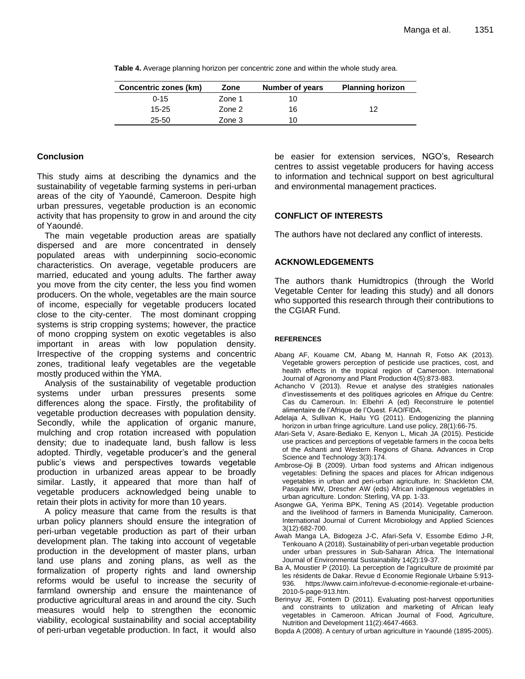| Concentric zones (km) | Zone   | Number of years | <b>Planning horizon</b> |
|-----------------------|--------|-----------------|-------------------------|
| $0 - 15$              | Zone 1 | 10              |                         |
| $15 - 25$             | Zone 2 | 16              | 12                      |
| $25 - 50$             | Zone 3 | 10              |                         |

**Table 4.** Average planning horizon per concentric zone and within the whole study area.

# **Conclusion**

This study aims at describing the dynamics and the sustainability of vegetable farming systems in peri-urban areas of the city of Yaoundé, Cameroon. Despite high urban pressures, vegetable production is an economic activity that has propensity to grow in and around the city of Yaoundé.

The main vegetable production areas are spatially dispersed and are more concentrated in densely populated areas with underpinning socio-economic characteristics. On average, vegetable producers are married, educated and young adults. The farther away you move from the city center, the less you find women producers. On the whole, vegetables are the main source of income, especially for vegetable producers located close to the city-center. The most dominant cropping systems is strip cropping systems; however, the practice of mono cropping system on exotic vegetables is also important in areas with low population density. Irrespective of the cropping systems and concentric zones, traditional leafy vegetables are the vegetable mostly produced within the YMA.

Analysis of the sustainability of vegetable production systems under urban pressures presents some differences along the space. Firstly, the profitability of vegetable production decreases with population density. Secondly, while the application of organic manure, mulching and crop rotation increased with population density; due to inadequate land, bush fallow is less adopted. Thirdly, vegetable producer's and the general public's views and perspectives towards vegetable production in urbanized areas appear to be broadly similar. Lastly, it appeared that more than half of vegetable producers acknowledged being unable to retain their plots in activity for more than 10 years.

A policy measure that came from the results is that urban policy planners should ensure the integration of peri-urban vegetable production as part of their urban development plan. The taking into account of vegetable production in the development of master plans, urban land use plans and zoning plans, as well as the formalization of property rights and land ownership reforms would be useful to increase the security of farmland ownership and ensure the maintenance of productive agricultural areas in and around the city. Such measures would help to strengthen the economic viability, ecological sustainability and social acceptability of peri-urban vegetable production. In fact, it would also be easier for extension services, NGO's, Research centres to assist vegetable producers for having access to information and technical support on best agricultural and environmental management practices.

# **CONFLICT OF INTERESTS**

The authors have not declared any conflict of interests.

# **ACKNOWLEDGEMENTS**

The authors thank Humidtropics (through the World Vegetable Center for leading this study) and all donors who supported this research through their contributions to the CGIAR Fund.

## **REFERENCES**

- Abang AF, Kouame CM, Abang M, Hannah R, Fotso AK (2013). Vegetable growers perception of pesticide use practices, cost, and health effects in the tropical region of Cameroon. International Journal of Agronomy and Plant Production 4(5):873-883.
- Achancho V (2013). Revue et analyse des stratégies nationales d'investissements et des politiques agricoles en Afrique du Centre: Cas du Cameroun. In: Elbehri A (ed) Reconstruire le potentiel alimentaire de l'Afrique de l'Ouest. FAO/FIDA.
- Adelaja A, Sullivan K, Hailu YG (2011). Endogenizing the planning horizon in urban fringe agriculture. Land use policy, 28(1):66-75.
- Afari-Sefa V, Asare-Bediako E, Kenyon L, Micah JA (2015). Pesticide use practices and perceptions of vegetable farmers in the cocoa belts of the Ashanti and Western Regions of Ghana. Advances in Crop Science and Technology 3(3):174.
- Ambrose-Oji B (2009). Urban food systems and African indigenous vegetables: Defining the spaces and places for African indigenous vegetables in urban and peri-urban agriculture. In: Shackleton CM, Pasquini MW, Drescher AW (eds) African indigenous vegetables in urban agriculture. London: Sterling, VA pp. 1-33.
- Asongwe GA, Yerima BPK, Tening AS (2014). Vegetable production and the livelihood of farmers in Bamenda Municipality, Cameroon. International Journal of Current Microbiology and Applied Sciences 3(12):682-700.
- Awah Manga LA, Bidogeza J-C, Afari-Sefa V, Essombe Edimo J-R, Tenkouano A (2018). Sustainability of peri-urban vegetable production under urban pressures in Sub-Saharan Africa. The International Journal of Environmental Sustainability 14(2):19-37.
- Ba A, Moustier P (2010). La perception de l'agriculture de proximité par les résidents de Dakar. Revue d Economie Regionale Urbaine 5:913- 936. https://www.cairn.info/revue-d-economie-regionale-et-urbaine-2010-5-page-913.htm.
- Berinyuy JE, Fontem D (2011). Evaluating post-harvest opportunities and constraints to utilization and marketing of African leafy vegetables in Cameroon. African Journal of Food, Agriculture, Nutrition and Development 11(2):4647-4663.
- Bopda A (2008). A century of urban agriculture in Yaoundé (1895-2005).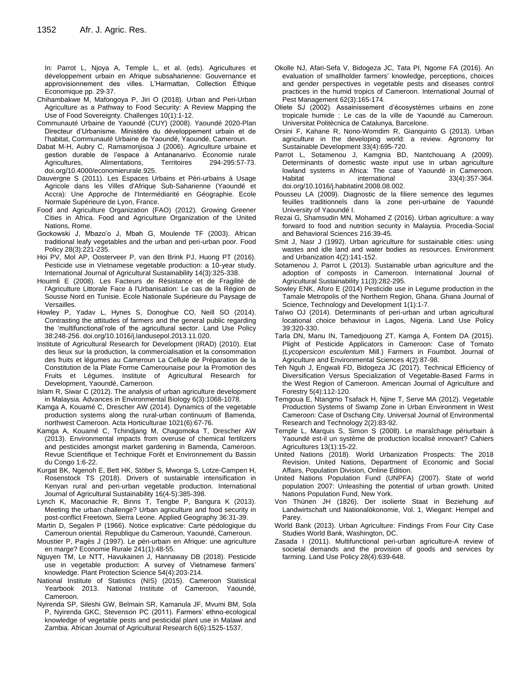In: Parrot L, Njoya A, Temple L, et al. (eds). Agricultures et développement urbain en Afrique subsaharienne: Gouvernance et approvisionnement des villes. L'Harmattan, Collection Éthique Economique pp. 29-37.

- Chihambakwe M, Mafongoya P, Jiri O (2018). Urban and Peri-Urban Agriculture as a Pathway to Food Security: A Review Mapping the Use of Food Sovereignty. Challenges 10(1):1-12.
- Communauté Urbaine de Yaoundé (CUY) (2008). Yaoundé 2020-Plan Directeur d'Urbanisme. Ministère du développement urbain et de l'habitat, Communauté Urbaine de Yaoundé, Yaoundé, Cameroun.
- Dabat M-H, Aubry C, Ramamonjisoa J (2006). Agriculture urbaine et gestion durable de l'espace à Antananarivo. Économie rurale Agricultures, Alimentations, Territoires 294-295:57-73. doi.org/10.4000/economierurale.925.
- Dauvergne S (2011). Les Espaces Urbains et Péri-urbains à Usage Agricole dans les Villes d'Afrique Sub-Saharienne (Yaoundé et Accra): Une Approche de l'Intermédiarité en Géographie. Ecole Normale Supérieure de Lyon, France.
- Food and Agriculture Organization (FAO) (2012). Growing Greener Cities in Africa. Food and Agriculture Organization of the United Nations, Rome.
- Gockowski J, Mbazo'o J, Mbah G, Moulende TF (2003). African traditional leafy vegetables and the urban and peri-urban poor. Food Policy 28(3):221-235.
- Hoi PV, Mol AP, Oosterveer P, van den Brink PJ, Huong PT (2016). Pesticide use in Vietnamese vegetable production: a 10-year study. International Journal of Agricultural Sustainability 14(3):325-338.
- Houimli E (2008). Les Facteurs de Résistance et de Fragilité de l'Agriculture Littorale Face à l'Urbanisation: Le cas de la Région de Sousse Nord en Tunisie. Ecole Nationale Supérieure du Paysage de Versailles.
- Howley P, Yadav L, Hynes S, Donoghue CO, Neill SO (2014). Contrasting the attitudes of farmers and the general public regarding the 'multifunctional'role of the agricultural sector. Land Use Policy 38:248-256. doi.org/10.1016/j.landusepol.2013.11.020.
- Institute of Agricultural Research for Development (IRAD) (2010). Etat des lieux sur la production, la commercialisation et la consommation des fruits et légumes au Cameroun La Cellule de Préparation de la Constitution de la Plate Forme Camerounaise pour la Promotion des Fruits et Légumes. Institute of Agricultural Research for Development, Yaoundé, Cameroon.
- Islam R, Siwar C (2012). The analysis of urban agriculture development in Malaysia. Advances in Environmental Biology 6(3):1068-1078.
- Kamga A, Kouamé C, Drescher AW (2014). Dynamics of the vegetable production systems along the rural-urban continuum of Bamenda, northwest Cameroon. Acta Horticulturae 1021(6):67-76.
- Kamga A, Kouamé C, Tchindjang M, Chagomoka T, Drescher AW (2013). Environmental impacts from overuse of chemical fertilizers and pesticides amongst market gardening in Bamenda, Cameroon. Revue Scientifique et Technique Forêt et Environnement du Bassin du Congo 1:6-22.
- Kurgat BK, Ngenoh E, Bett HK, Stöber S, Mwonga S, Lotze-Campen H, Rosenstock TS (2018). Drivers of sustainable intensification in Kenyan rural and peri-urban vegetable production. International Journal of Agricultural Sustainability 16(4-5):385-398.
- Lynch K, Maconachie R, Binns T, Tengbe P, Bangura K (2013). Meeting the urban challenge? Urban agriculture and food security in post-conflict Freetown, Sierra Leone. Applied Geography 36:31-39.
- Martin D, Segalen P (1966). Notice explicative: Carte pédologique du Cameroun oriental. Republique du Cameroun, Yaoundé, Cameroun.
- Moustier P, Pagès J (1997). Le péri-urbain en Afrique: une agriculture en marge? Economie Rurale 241(1):48-55.
- Nguyen TM, Le NTT, Havukainen J, Hannaway DB (2018). Pesticide use in vegetable production: A survey of Vietnamese farmers' knowledge. Plant Protection Science 54(4):203-214.
- National Institute of Statistics (NIS) (2015). Cameroon Statistical Yearbook 2013. National Institute of Cameroon, Yaoundé, Cameroon.
- Nyirenda SP, Sileshi GW, Belmain SR, Kamanula JF, Mvumi BM, Sola P, Nyirenda GKC, Stevenson PC (2011). Farmers' ethno-ecological knowledge of vegetable pests and pesticidal plant use in Malawi and Zambia. African Journal of Agricultural Research 6(6):1525-1537.
- Okolle NJ, Afari-Sefa V, Bidogeza JC, Tata PI, Ngome FA (2016). An evaluation of smallholder farmers' knowledge, perceptions, choices and gender perspectives in vegetable pests and diseases control practices in the humid tropics of Cameroon. International Journal of Pest Management 62(3):165-174.
- Oliete SJ (2002). Assainissement d'écosystèmes urbains en zone tropicale humide : Le cas de la ville de Yaoundé au Cameroun. Universitat Politècnica de Catalunya, Barcelone.
- Orsini F, Kahane R, Nono-Womdim R, Gianquinto G (2013). Urban agriculture in the developing world: a review. Agronomy for Sustainable Development 33(4):695-720.
- Parrot L, Sotamenou J, Kamgnia BD, Nantchouang A (2009). Determinants of domestic waste input use in urban agriculture lowland systems in Africa: The case of Yaoundé in Cameroon. Habitat international 33(4):357-364. doi.org/10.1016/j.habitatint.2008.08.002.
- Pousseu LA (2009). Diagnostic de la filiere semence des legumes feuilles traditionnels dans la zone peri-urbaine de Yaoundé University of Yaoundé I.
- Rezai G, Shamsudin MN, Mohamed Z (2016). Urban agriculture: a way forward to food and nutrition security in Malaysia. Procedia-Social and Behavioral Sciences 216:39-45.
- Smit J, Nasr J (1992). Urban agriculture for sustainable cities: using wastes and idle land and water bodies as resources. Environment and Urbanization 4(2):141-152.
- Sotamenou J, Parrot L (2013). Sustainable urban agriculture and the adoption of composts in Cameroon. International Journal of Agricultural Sustainability 11(3):282-295.
- Sowley ENK, Aforo E (2014) Pesticide use in Legume production in the Tamale Metropolis of the Northern Region, Ghana. Ghana Journal of Science, Technology and Development 1(1):1-7.
- Taïwo OJ (2014). Determinants of peri-urban and urban agricultural locational choice behaviour in Lagos, Nigeria. Land Use Policy 39:320-330.
- Tarla DN, Manu IN, Tamedjouong ZT, Kamga A, Fontem DA (2015). Plight of Pesticide Applicators in Cameroon: Case of Tomato (*Lycopersicon esculentum* Mill.) Farmers in Foumbot. Journal of Agriculture and Environmental Sciences 4(2):87-98.
- Teh Nguh J, Engwali FD, Bidogeza JC (2017). Technical Efficiency of Diversification Versus Specialization of Vegetable-Based Farms in the West Region of Cameroon. American Journal of Agriculture and Forestry 5(4):112-120.
- Temgoua E, Ntangmo Tsafack H, Njine T, Serve MA (2012). Vegetable Production Systems of Swamp Zone in Urban Environment in West Cameroon: Case of Dschang City. Universal Journal of Environmental Research and Technology 2(2):83-92.
- Temple L, Marquis S, Simon S (2008). Le maraîchage périurbain à Yaoundé est-il un système de production localisé innovant? Cahiers Agricultures 13(1):15-22.
- United Nations (2018). World Urbanization Prospects: The 2018 Revision. United Nations, Department of Economic and Social Affairs, Population Division, Online Edition.
- United Nations Population Fund (UNPFA) (2007). State of world population 2007: Unleashing the potential of urban growth. United Nations Population Fund, New York.
- Von Thünen JH (1826). Der isolierte Staat in Beziehung auf Landwirtschaft und Nationalökonomie, Vol. 1, Wiegant: Hempel and Parey.
- World Bank (2013). Urban Agriculture: Findings From Four City Case Studies World Bank, Washington, DC.
- Zasada I (2011). Multifunctional peri-urban agriculture-A review of societal demands and the provision of goods and services by farming. Land Use Policy 28(4):639-648.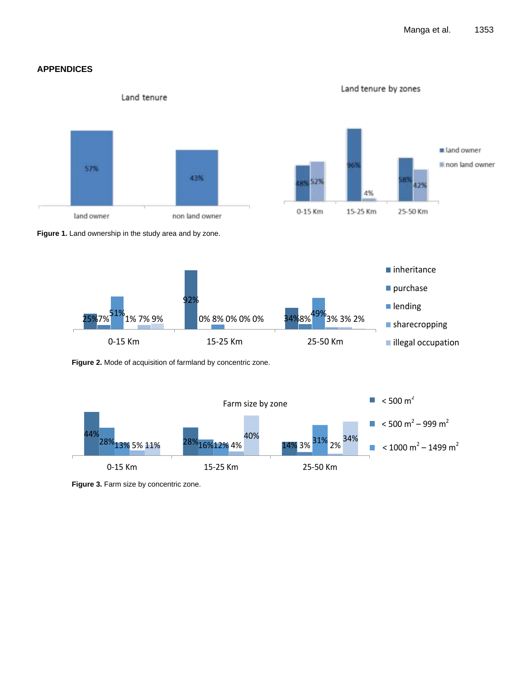# **APPENDICES**

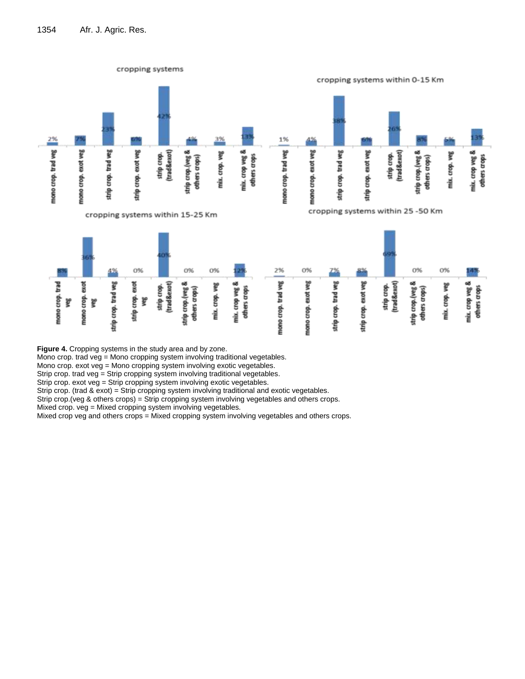

**Figure 4.** Cropping systems in the study area and by zone.

Mono crop. trad veg = Mono cropping system involving traditional vegetables.

Mono crop. exot veg = Mono cropping system involving exotic vegetables.

Strip crop. trad veg = Strip cropping system involving traditional vegetables.

Strip crop. exot veg = Strip cropping system involving exotic vegetables.

Strip crop. (trad & exot) = Strip cropping system involving traditional and exotic vegetables.

Strip crop.(veg & others crops) = Strip cropping system involving vegetables and others crops.

Mixed crop. veg = Mixed cropping system involving vegetables.

Mixed crop veg and others crops = Mixed cropping system involving vegetables and others crops.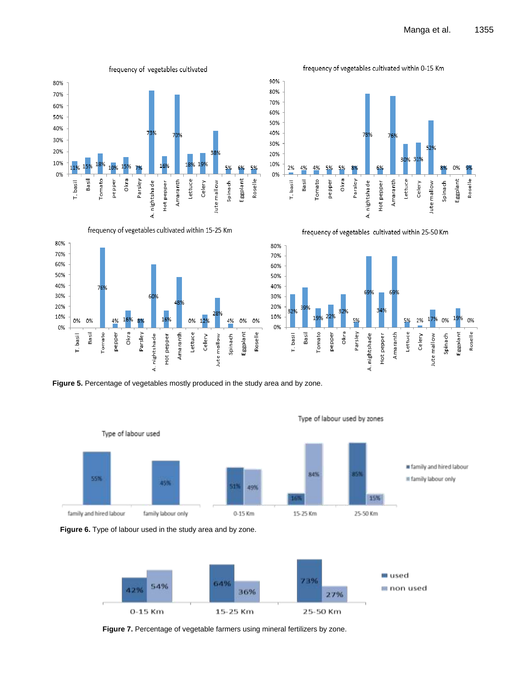0%

Eggplant

Roselle

Lettuce

frequency of vegetables cultivated within 25-50 Km

Celery

Jute mallow Spinach



frequency of vegetables cultivated within 15-25 Km











**Figure 7.** Percentage of vegetable farmers using mineral fertilizers by zone.

### Type of labour used by zones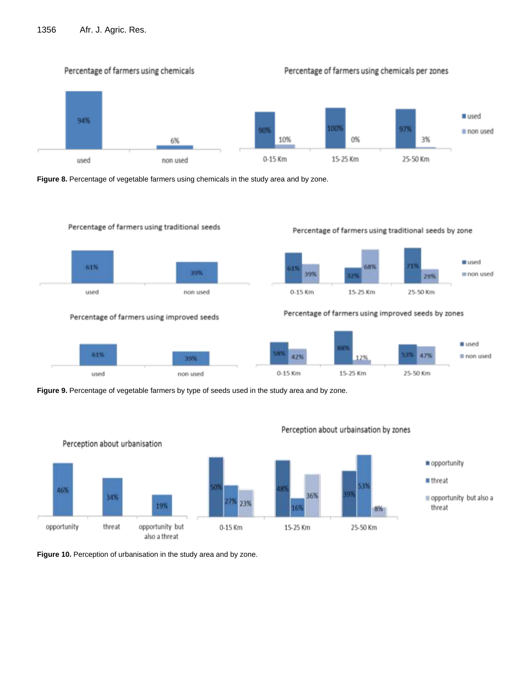# 1356 Afr. J. Agric. Res.



**Figure 8.** Percentage of vegetable farmers using chemicals in the study area and by zone.



**Figure 9.** Percentage of vegetable farmers by type of seeds used in the study area and by zone.



Perception about urbainsation by zones

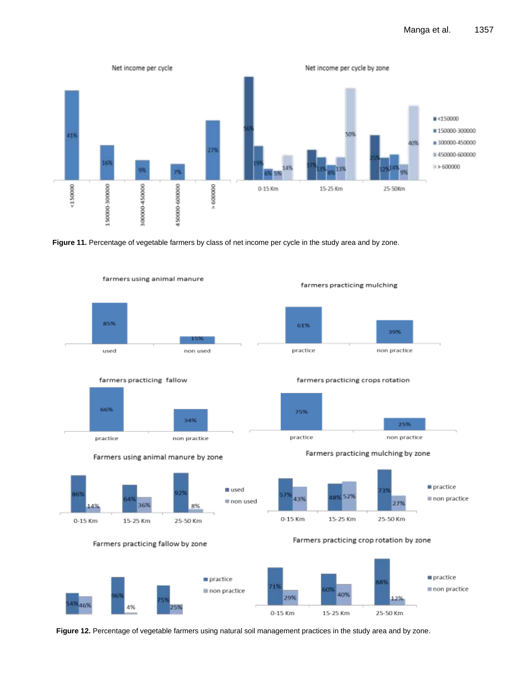

**Figure 11.** Percentage of vegetable farmers by class of net income per cycle in the study area and by zone.



**Figure 12.** Percentage of vegetable farmers using natural soil management practices in the study area and by zone.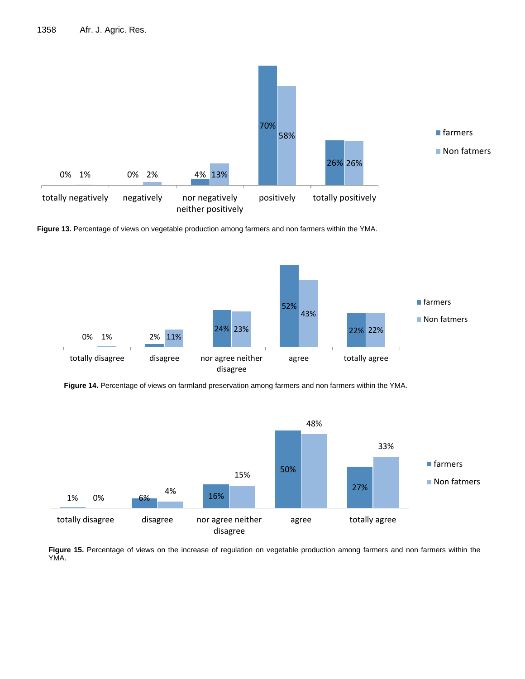

**Figure 13.** Percentage of views on vegetable production among farmers and non farmers within the YMA.



**Figure 14.** Percentage of views on farmland preservation among farmers and non farmers within the YMA. Increase of regulation on vegetable production



**Figure 15.** Percentage of views on the increase of regulation on vegetable production among farmers and non farmers within the YMA.